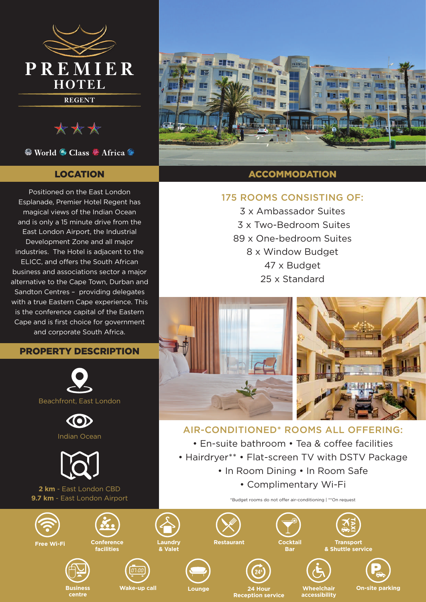

\*\*\*

<sup>©</sup> World <sup>⊙</sup> Class <sup>©</sup> Africa <sup>©</sup>

# LOCATION

Positioned on the East London Esplanade, Premier Hotel Regent has magical views of the Indian Ocean and is only a 15 minute drive from the East London Airport, the Industrial Development Zone and all major industries. The Hotel is adjacent to the ELICC, and offers the South African business and associations sector a major alternative to the Cape Town, Durban and Sandton Centres – providing delegates with a true Eastern Cape experience. This is the conference capital of the Eastern Cape and is first choice for government and corporate South Africa.

# PROPERTY DESCRIPTION







**2 km** - East London CBD **9.7 km** - East London Airport



# ACCOMMODATION

# 175 ROOMS CONSISTING OF:

3 x Ambassador Suites 3 x Two-Bedroom Suites 89 x One-bedroom Suites 8 x Window Budget 47 x Budget 25 x Standard



# AIR-CONDITIONED\* ROOMS ALL OFFERING:

• En-suite bathroom • Tea & coffee facilities

- Hairdryer\*\* Flat-screen TV with DSTV Package
	- In Room Dining In Room Safe
		- Complimentary Wi-Fi

\*Budget rooms do not offer air-conditioning | \*\*On request

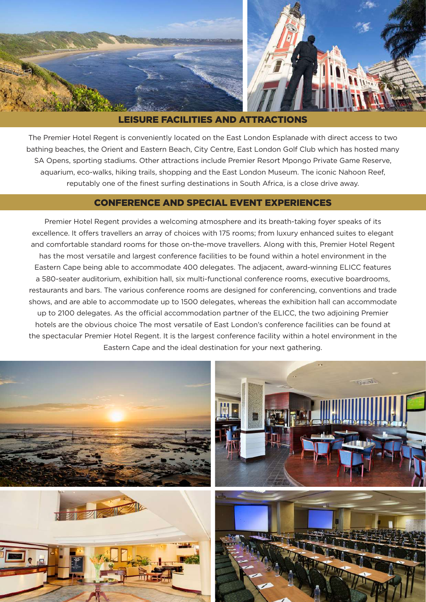

### LEISURE FACILITIES AND ATTRACTIONS

The Premier Hotel Regent is conveniently located on the East London Esplanade with direct access to two bathing beaches, the Orient and Eastern Beach, City Centre, East London Golf Club which has hosted many SA Opens, sporting stadiums. Other attractions include Premier Resort Mpongo Private Game Reserve, aquarium, eco-walks, hiking trails, shopping and the East London Museum. The iconic Nahoon Reef, reputably one of the finest surfing destinations in South Africa, is a close drive away.

### CONFERENCE AND SPECIAL EVENT EXPERIENCES

Premier Hotel Regent provides a welcoming atmosphere and its breath-taking foyer speaks of its excellence. It offers travellers an array of choices with 175 rooms; from luxury enhanced suites to elegant and comfortable standard rooms for those on-the-move travellers. Along with this, Premier Hotel Regent has the most versatile and largest conference facilities to be found within a hotel environment in the Eastern Cape being able to accommodate 400 delegates. The adjacent, award-winning ELICC features a 580-seater auditorium, exhibition hall, six multi-functional conference rooms, executive boardrooms, restaurants and bars. The various conference rooms are designed for conferencing, conventions and trade shows, and are able to accommodate up to 1500 delegates, whereas the exhibition hall can accommodate up to 2100 delegates. As the official accommodation partner of the ELICC, the two adjoining Premier hotels are the obvious choice The most versatile of East London's conference facilities can be found at the spectacular Premier Hotel Regent. It is the largest conference facility within a hotel environment in the Eastern Cape and the ideal destination for your next gathering.